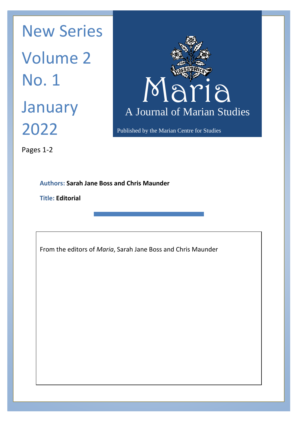Published by the Marian Centre for Studies January A Journal New Series Volume 2 No. 1 2022



Pages 1-2

**Authors: Sarah Jane Boss and Chris Maunder**

**Title: Editorial**

From the editors of *Maria*, Sarah Jane Boss and Chris Maunder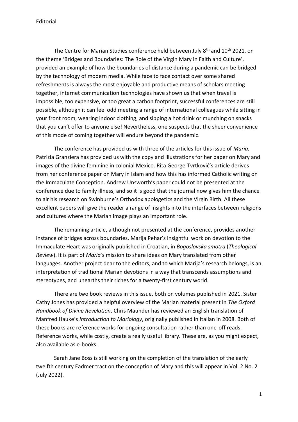Editorial

The Centre for Marian Studies conference held between July 8<sup>th</sup> and 10<sup>th</sup> 2021, on the theme 'Bridges and Boundaries: The Role of the Virgin Mary in Faith and Culture', provided an example of how the boundaries of distance during a pandemic can be bridged by the technology of modern media. While face to face contact over some shared refreshments is always the most enjoyable and productive means of scholars meeting together, internet communication technologies have shown us that when travel is impossible, too expensive, or too great a carbon footprint, successful conferences are still possible, although it can feel odd meeting a range of international colleagues while sitting in your front room, wearing indoor clothing, and sipping a hot drink or munching on snacks that you can't offer to anyone else! Nevertheless, one suspects that the sheer convenience of this mode of coming together will endure beyond the pandemic.

The conference has provided us with three of the articles for this issue of *Maria.*  Patrizia Granziera has provided us with the copy and illustrations for her paper on Mary and images of the divine feminine in colonial Mexico. Rita George-Tvrtković's article derives from her conference paper on Mary in Islam and how this has informed Catholic writing on the Immaculate Conception. Andrew Unsworth's paper could not be presented at the conference due to family illness, and so it is good that the journal now gives him the chance to air his research on Swinburne's Orthodox apologetics and the Virgin Birth. All these excellent papers will give the reader a range of insights into the interfaces between religions and cultures where the Marian image plays an important role.

The remaining article, although not presented at the conference, provides another instance of bridges across boundaries. Marija Pehar's insightful work on devotion to the Immaculate Heart was originally published in Croatian, in *Bogoslovska smotra* (*Theological Review*). It is part of *Maria*'s mission to share ideas on Mary translated from other languages. Another project dear to the editors, and to which Marija's research belongs, is an interpretation of traditional Marian devotions in a way that transcends assumptions and stereotypes, and unearths their riches for a twenty-first century world.

There are two book reviews in this issue, both on volumes published in 2021. Sister Cathy Jones has provided a helpful overview of the Marian material present in *The Oxford Handbook of Divine Revelation*. Chris Maunder has reviewed an English translation of Manfred Hauke's *Introduction to Mariology*, originally published in Italian in 2008. Both of these books are reference works for ongoing consultation rather than one-off reads. Reference works, while costly, create a really useful library. These are, as you might expect, also available as e-books.

Sarah Jane Boss is still working on the completion of the translation of the early twelfth century Eadmer tract on the conception of Mary and this will appear in Vol. 2 No. 2 (July 2022).